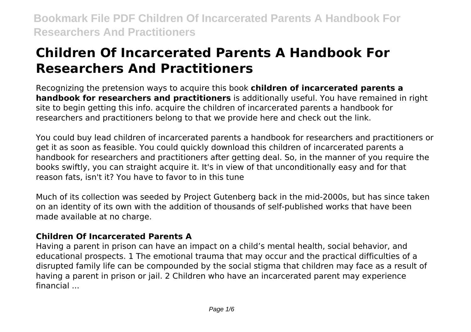# **Children Of Incarcerated Parents A Handbook For Researchers And Practitioners**

Recognizing the pretension ways to acquire this book **children of incarcerated parents a handbook for researchers and practitioners** is additionally useful. You have remained in right site to begin getting this info. acquire the children of incarcerated parents a handbook for researchers and practitioners belong to that we provide here and check out the link.

You could buy lead children of incarcerated parents a handbook for researchers and practitioners or get it as soon as feasible. You could quickly download this children of incarcerated parents a handbook for researchers and practitioners after getting deal. So, in the manner of you require the books swiftly, you can straight acquire it. It's in view of that unconditionally easy and for that reason fats, isn't it? You have to favor to in this tune

Much of its collection was seeded by Project Gutenberg back in the mid-2000s, but has since taken on an identity of its own with the addition of thousands of self-published works that have been made available at no charge.

### **Children Of Incarcerated Parents A**

Having a parent in prison can have an impact on a child's mental health, social behavior, and educational prospects. 1 The emotional trauma that may occur and the practical difficulties of a disrupted family life can be compounded by the social stigma that children may face as a result of having a parent in prison or jail. 2 Children who have an incarcerated parent may experience financial ...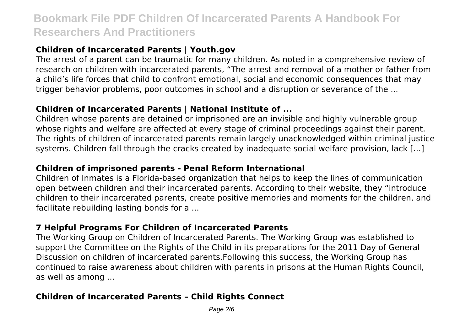# **Children of Incarcerated Parents | Youth.gov**

The arrest of a parent can be traumatic for many children. As noted in a comprehensive review of research on children with incarcerated parents, "The arrest and removal of a mother or father from a child's life forces that child to confront emotional, social and economic consequences that may trigger behavior problems, poor outcomes in school and a disruption or severance of the ...

#### **Children of Incarcerated Parents | National Institute of ...**

Children whose parents are detained or imprisoned are an invisible and highly vulnerable group whose rights and welfare are affected at every stage of criminal proceedings against their parent. The rights of children of incarcerated parents remain largely unacknowledged within criminal justice systems. Children fall through the cracks created by inadequate social welfare provision, lack […]

### **Children of imprisoned parents - Penal Reform International**

Children of Inmates is a Florida-based organization that helps to keep the lines of communication open between children and their incarcerated parents. According to their website, they "introduce children to their incarcerated parents, create positive memories and moments for the children, and facilitate rebuilding lasting bonds for a ...

### **7 Helpful Programs For Children of Incarcerated Parents**

The Working Group on Children of Incarcerated Parents. The Working Group was established to support the Committee on the Rights of the Child in its preparations for the 2011 Day of General Discussion on children of incarcerated parents.Following this success, the Working Group has continued to raise awareness about children with parents in prisons at the Human Rights Council, as well as among ...

### **Children of Incarcerated Parents – Child Rights Connect**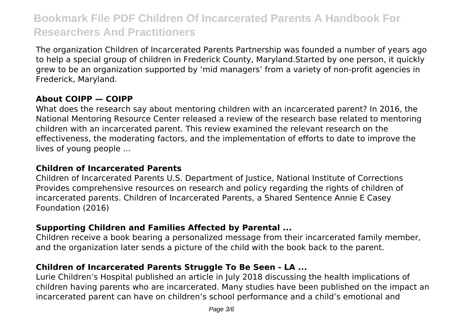The organization Children of Incarcerated Parents Partnership was founded a number of years ago to help a special group of children in Frederick County, Maryland.Started by one person, it quickly grew to be an organization supported by 'mid managers' from a variety of non-profit agencies in Frederick, Maryland.

### **About COIPP — COIPP**

What does the research say about mentoring children with an incarcerated parent? In 2016, the National Mentoring Resource Center released a review of the research base related to mentoring children with an incarcerated parent. This review examined the relevant research on the effectiveness, the moderating factors, and the implementation of efforts to date to improve the lives of young people ...

#### **Children of Incarcerated Parents**

Children of Incarcerated Parents U.S. Department of Justice, National Institute of Corrections Provides comprehensive resources on research and policy regarding the rights of children of incarcerated parents. Children of Incarcerated Parents, a Shared Sentence Annie E Casey Foundation (2016)

#### **Supporting Children and Families Affected by Parental ...**

Children receive a book bearing a personalized message from their incarcerated family member, and the organization later sends a picture of the child with the book back to the parent.

#### **Children of Incarcerated Parents Struggle To Be Seen - LA ...**

Lurie Children's Hospital published an article in July 2018 discussing the health implications of children having parents who are incarcerated. Many studies have been published on the impact an incarcerated parent can have on children's school performance and a child's emotional and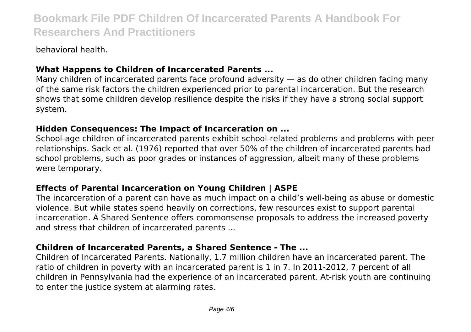behavioral health.

## **What Happens to Children of Incarcerated Parents ...**

Many children of incarcerated parents face profound adversity — as do other children facing many of the same risk factors the children experienced prior to parental incarceration. But the research shows that some children develop resilience despite the risks if they have a strong social support system.

### **Hidden Consequences: The Impact of Incarceration on ...**

School-age children of incarcerated parents exhibit school-related problems and problems with peer relationships. Sack et al. (1976) reported that over 50% of the children of incarcerated parents had school problems, such as poor grades or instances of aggression, albeit many of these problems were temporary.

### **Effects of Parental Incarceration on Young Children | ASPE**

The incarceration of a parent can have as much impact on a child's well-being as abuse or domestic violence. But while states spend heavily on corrections, few resources exist to support parental incarceration. A Shared Sentence offers commonsense proposals to address the increased poverty and stress that children of incarcerated parents ...

### **Children of Incarcerated Parents, a Shared Sentence - The ...**

Children of Incarcerated Parents. Nationally, 1.7 million children have an incarcerated parent. The ratio of children in poverty with an incarcerated parent is 1 in 7. In 2011-2012, 7 percent of all children in Pennsylvania had the experience of an incarcerated parent. At-risk youth are continuing to enter the justice system at alarming rates.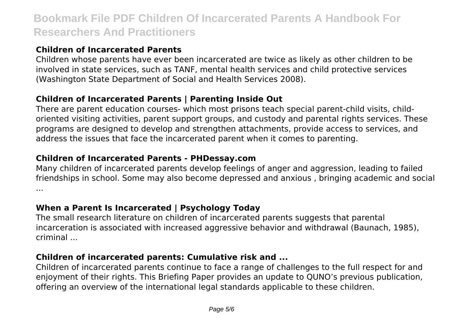## **Children of Incarcerated Parents**

Children whose parents have ever been incarcerated are twice as likely as other children to be involved in state services, such as TANF, mental health services and child protective services (Washington State Department of Social and Health Services 2008).

# **Children of Incarcerated Parents | Parenting Inside Out**

There are parent education courses- which most prisons teach special parent-child visits, childoriented visiting activities, parent support groups, and custody and parental rights services. These programs are designed to develop and strengthen attachments, provide access to services, and address the issues that face the incarcerated parent when it comes to parenting.

## **Children of Incarcerated Parents - PHDessay.com**

Many children of incarcerated parents develop feelings of anger and aggression, leading to failed friendships in school. Some may also become depressed and anxious , bringing academic and social ...

# **When a Parent Is Incarcerated | Psychology Today**

The small research literature on children of incarcerated parents suggests that parental incarceration is associated with increased aggressive behavior and withdrawal (Baunach, 1985), criminal ...

# **Children of incarcerated parents: Cumulative risk and ...**

Children of incarcerated parents continue to face a range of challenges to the full respect for and enjoyment of their rights. This Briefing Paper provides an update to QUNO's previous publication, offering an overview of the international legal standards applicable to these children.